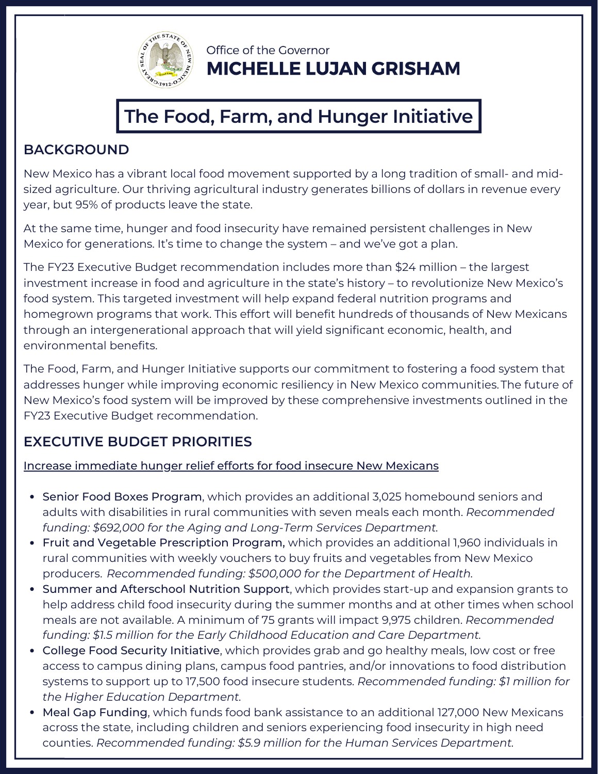

Office of the Governor **MICHELLE LUJAN GRISHAM** 

# **The Food, Farm, and Hunger Initiative**

## **BACKGROUND**

New Mexico has a vibrant local food movement supported by a long tradition of small- and midsized agriculture. Our thriving agricultural industry generates billions of dollars in revenue every year, but 95% of products leave the state.

At the same time, hunger and food insecurity have remained persistent challenges in New Mexico for generations. It's time to change the system – and we've got a plan.

The FY23 Executive Budget recommendation includes more than \$24 million – the largest investment increase in food and agriculture in the state's history – to revolutionize New Mexico's food system. This targeted investment will help expand federal nutrition programs and homegrown programs that work. This effort will benefit hundreds of thousands of New Mexicans through an intergenerational approach that will yield significant economic, health, and environmental benefits.

The Food, Farm, and Hunger Initiative supports our commitment to fostering a food system that addresses hunger while improving economic resiliency in New Mexico communities.The future of New Mexico's food system will be improved by these comprehensive investments outlined in the FY23 Executive Budget recommendation.

## **EXECUTIVE BUDGET PRIORITIES**

### Increase immediate hunger relief efforts for food insecure New Mexicans

- Senior Food Boxes Program, which provides an additional 3,025 homebound seniors and adults with disabilities in rural communities with seven meals each month. *Recommended funding: \$692,000 for the Aging and Long-Term Services Department.*
- Fruit and Vegetable Prescription Program, which provides an additional 1,960 individuals in rural communities with weekly vouchers to buy fruits and vegetables from New Mexico producers. *Recommended funding: \$500,000 for the Department of Health.*
- Summer and Afterschool Nutrition Support, which provides start-up and expansion grants to help address child food insecurity during the summer months and at other times when school meals are not available. A minimum of 75 grants will impact 9,975 children. *Recommended funding: \$1.5 million for the Early Childhood Education and Care Department.*
- College Food Security Initiative, which provides grab and go healthy meals, low cost or free access to campus dining plans, campus food pantries, and/or innovations to food distribution systems to support up to 17,500 food insecure students. *Recommended funding: \$1 million for the Higher Education Department.*
- Meal Gap Funding, which funds food bank assistance to an additional 127,000 New Mexicans across the state, including children and seniors experiencing food insecurity in high need counties. *Recommended funding: \$5.9 million for the Human Services Department.*